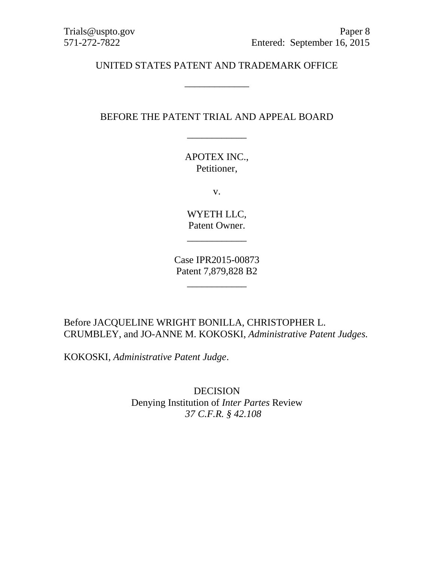#### UNITED STATES PATENT AND TRADEMARK OFFICE

\_\_\_\_\_\_\_\_\_\_\_\_\_

## BEFORE THE PATENT TRIAL AND APPEAL BOARD

\_\_\_\_\_\_\_\_\_\_\_\_

APOTEX INC., Petitioner,

v.

WYETH LLC, Patent Owner.

\_\_\_\_\_\_\_\_\_\_\_\_

Case IPR2015-00873 Patent 7,879,828 B2

\_\_\_\_\_\_\_\_\_\_\_\_

Before JACQUELINE WRIGHT BONILLA, CHRISTOPHER L. CRUMBLEY, and JO-ANNE M. KOKOSKI, *Administrative Patent Judges.*

KOKOSKI, *Administrative Patent Judge*.

DECISION Denying Institution of *Inter Partes* Review *37 C.F.R. § 42.108*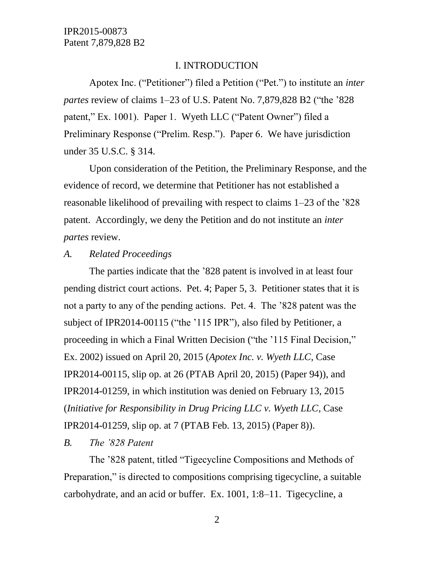#### I. INTRODUCTION

Apotex Inc. ("Petitioner") filed a Petition ("Pet.") to institute an *inter partes* review of claims 1–23 of U.S. Patent No. 7,879,828 B2 ("the '828 patent," Ex. 1001). Paper 1. Wyeth LLC ("Patent Owner") filed a Preliminary Response ("Prelim. Resp."). Paper 6. We have jurisdiction under 35 U.S.C. § 314.

Upon consideration of the Petition, the Preliminary Response, and the evidence of record, we determine that Petitioner has not established a reasonable likelihood of prevailing with respect to claims 1–23 of the '828 patent. Accordingly, we deny the Petition and do not institute an *inter partes* review.

#### *A. Related Proceedings*

The parties indicate that the '828 patent is involved in at least four pending district court actions. Pet. 4; Paper 5, 3. Petitioner states that it is not a party to any of the pending actions. Pet. 4. The '828 patent was the subject of IPR2014-00115 ("the '115 IPR"), also filed by Petitioner, a proceeding in which a Final Written Decision ("the '115 Final Decision," Ex. 2002) issued on April 20, 2015 (*Apotex Inc. v. Wyeth LLC*, Case IPR2014-00115, slip op. at 26 (PTAB April 20, 2015) (Paper 94)), and IPR2014-01259, in which institution was denied on February 13, 2015 (*Initiative for Responsibility in Drug Pricing LLC v. Wyeth LLC*, Case IPR2014-01259, slip op. at 7 (PTAB Feb. 13, 2015) (Paper 8)).

#### *B. The '828 Patent*

The '828 patent, titled "Tigecycline Compositions and Methods of Preparation," is directed to compositions comprising tigecycline, a suitable carbohydrate, and an acid or buffer. Ex. 1001, 1:8–11. Tigecycline, a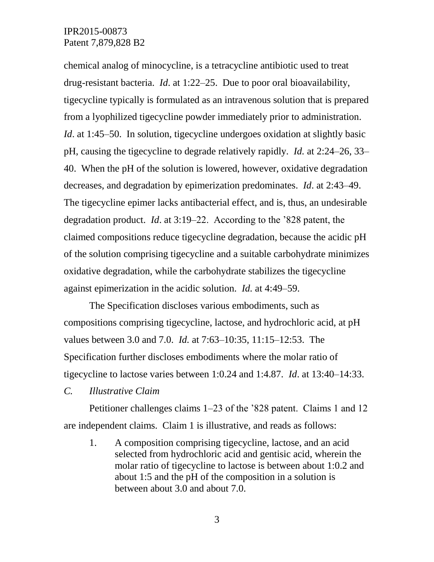chemical analog of minocycline, is a tetracycline antibiotic used to treat drug-resistant bacteria. *Id*. at 1:22–25. Due to poor oral bioavailability, tigecycline typically is formulated as an intravenous solution that is prepared from a lyophilized tigecycline powder immediately prior to administration. *Id.* at 1:45–50. In solution, tigecycline undergoes oxidation at slightly basic pH, causing the tigecycline to degrade relatively rapidly. *Id.* at 2:24–26, 33– 40. When the pH of the solution is lowered, however, oxidative degradation decreases, and degradation by epimerization predominates. *Id*. at 2:43–49. The tigecycline epimer lacks antibacterial effect, and is, thus, an undesirable degradation product. *Id*. at 3:19–22. According to the '828 patent, the claimed compositions reduce tigecycline degradation, because the acidic pH of the solution comprising tigecycline and a suitable carbohydrate minimizes oxidative degradation, while the carbohydrate stabilizes the tigecycline against epimerization in the acidic solution. *Id.* at 4:49–59.

The Specification discloses various embodiments, such as compositions comprising tigecycline, lactose, and hydrochloric acid, at pH values between 3.0 and 7.0. *Id.* at 7:63–10:35, 11:15–12:53. The Specification further discloses embodiments where the molar ratio of tigecycline to lactose varies between 1:0.24 and 1:4.87. *Id*. at 13:40–14:33.

*C. Illustrative Claim*

Petitioner challenges claims 1–23 of the '828 patent. Claims 1 and 12 are independent claims. Claim 1 is illustrative, and reads as follows:

1. A composition comprising tigecycline, lactose, and an acid selected from hydrochloric acid and gentisic acid, wherein the molar ratio of tigecycline to lactose is between about 1:0.2 and about 1:5 and the pH of the composition in a solution is between about 3.0 and about 7.0.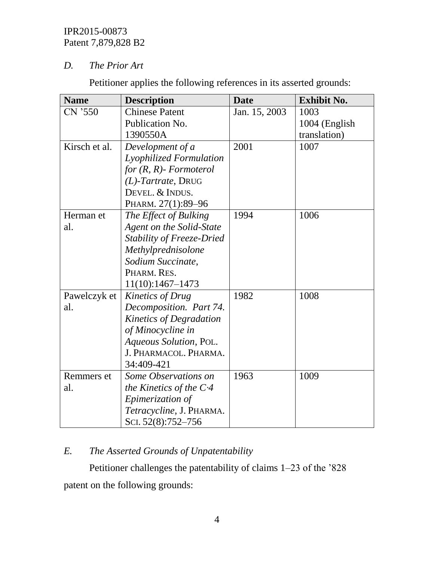## *D. The Prior Art*

Petitioner applies the following references in its asserted grounds:

| <b>Name</b>   | <b>Description</b>               | <b>Date</b>   | <b>Exhibit No.</b> |
|---------------|----------------------------------|---------------|--------------------|
| CN '550       | <b>Chinese Patent</b>            | Jan. 15, 2003 | 1003               |
|               | Publication No.                  |               | 1004 (English)     |
|               | 1390550A                         |               | translation)       |
| Kirsch et al. | Development of a                 | 2001          | 1007               |
|               | Lyophilized Formulation          |               |                    |
|               | for $(R, R)$ - Formoterol        |               |                    |
|               | $(L)$ -Tartrate, DRUG            |               |                    |
|               | DEVEL. & INDUS.                  |               |                    |
|               | PHARM. 27(1):89-96               |               |                    |
| Herman et     | The Effect of Bulking            | 1994          | 1006               |
| al.           | Agent on the Solid-State         |               |                    |
|               | <b>Stability of Freeze-Dried</b> |               |                    |
|               | Methylprednisolone               |               |                    |
|               | Sodium Succinate,                |               |                    |
|               | PHARM. RES.                      |               |                    |
|               | 11(10):1467-1473                 |               |                    |
| Pawelczyk et  | <b>Kinetics of Drug</b>          | 1982          | 1008               |
| al.           | Decomposition. Part 74.          |               |                    |
|               | Kinetics of Degradation          |               |                    |
|               | of Minocycline in                |               |                    |
|               | Aqueous Solution, POL.           |               |                    |
|               | J. PHARMACOL. PHARMA.            |               |                    |
|               | 34:409-421                       |               |                    |
| Remmers et    | Some Observations on             | 1963          | 1009               |
| al.           | the Kinetics of the $C4$         |               |                    |
|               | Epimerization of                 |               |                    |
|               | Tetracycline, J. PHARMA.         |               |                    |
|               | SCI. 52(8):752-756               |               |                    |

## *E. The Asserted Grounds of Unpatentability*

# Petitioner challenges the patentability of claims 1–23 of the '828

patent on the following grounds: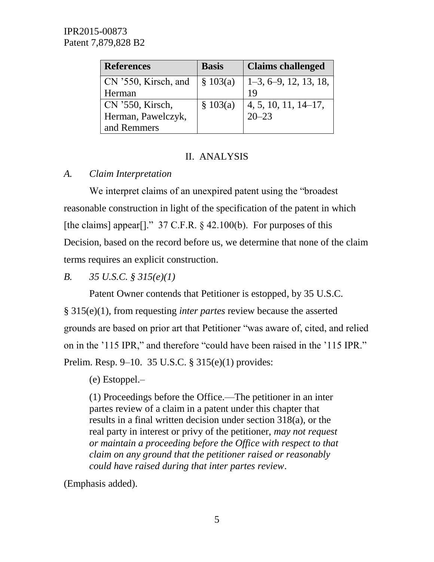| <b>References</b>    | <b>Basis</b> | <b>Claims challenged</b>                    |
|----------------------|--------------|---------------------------------------------|
| CN '550, Kirsch, and | \$103(a)     | $1-3, 6-9, 12, 13, 18,$                     |
| Herman               |              | 19                                          |
| CN '550, Kirsch,     | \$103(a)     | $\frac{4}{1}, 5, 10, \overline{11, 14-17},$ |
| Herman, Pawelczyk,   |              | $20 - 23$                                   |
| and Remmers          |              |                                             |

## II. ANALYSIS

## *A. Claim Interpretation*

We interpret claims of an unexpired patent using the "broadest reasonable construction in light of the specification of the patent in which [the claims] appear[]."  $37 \text{ C.F.R.}$  § 42.100(b). For purposes of this Decision, based on the record before us, we determine that none of the claim terms requires an explicit construction.

*B. 35 U.S.C. § 315(e)(1)*

Patent Owner contends that Petitioner is estopped, by 35 U.S.C. § 315(e)(1), from requesting *inter partes* review because the asserted grounds are based on prior art that Petitioner "was aware of, cited, and relied on in the '115 IPR," and therefore "could have been raised in the '115 IPR." Prelim. Resp. 9–10. 35 U.S.C. § 315(e)(1) provides:

(e) Estoppel.–

(1) Proceedings before the Office.—The petitioner in an inter partes review of a claim in a patent under this chapter that results in a final written decision under section 318(a), or the real party in interest or privy of the petitioner, *may not request or maintain a proceeding before the Office with respect to that claim on any ground that the petitioner raised or reasonably could have raised during that inter partes review*.

(Emphasis added).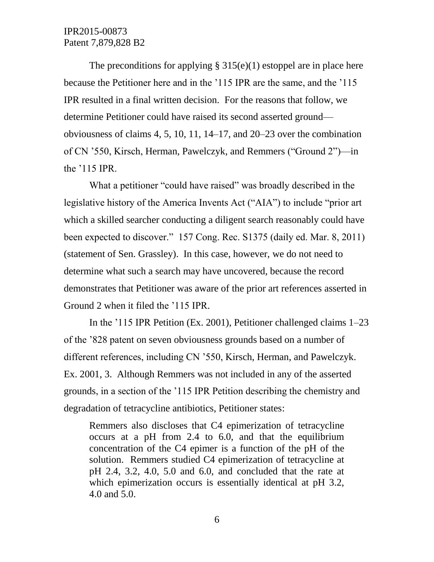The preconditions for applying  $\S 315(e)(1)$  estoppel are in place here because the Petitioner here and in the '115 IPR are the same, and the '115 IPR resulted in a final written decision. For the reasons that follow, we determine Petitioner could have raised its second asserted ground obviousness of claims 4, 5, 10, 11, 14–17, and 20–23 over the combination of CN '550, Kirsch, Herman, Pawelczyk, and Remmers ("Ground 2")—in the '115 IPR.

What a petitioner "could have raised" was broadly described in the legislative history of the America Invents Act ("AIA") to include "prior art which a skilled searcher conducting a diligent search reasonably could have been expected to discover." 157 Cong. Rec. S1375 (daily ed. Mar. 8, 2011) (statement of Sen. Grassley). In this case, however, we do not need to determine what such a search may have uncovered, because the record demonstrates that Petitioner was aware of the prior art references asserted in Ground 2 when it filed the '115 IPR.

In the '115 IPR Petition (Ex. 2001), Petitioner challenged claims 1–23 of the '828 patent on seven obviousness grounds based on a number of different references, including CN '550, Kirsch, Herman, and Pawelczyk. Ex. 2001, 3. Although Remmers was not included in any of the asserted grounds, in a section of the '115 IPR Petition describing the chemistry and degradation of tetracycline antibiotics, Petitioner states:

Remmers also discloses that C4 epimerization of tetracycline occurs at a pH from 2.4 to 6.0, and that the equilibrium concentration of the C4 epimer is a function of the pH of the solution. Remmers studied C4 epimerization of tetracycline at pH 2.4, 3.2, 4.0, 5.0 and 6.0, and concluded that the rate at which epimerization occurs is essentially identical at pH 3.2, 4.0 and 5.0.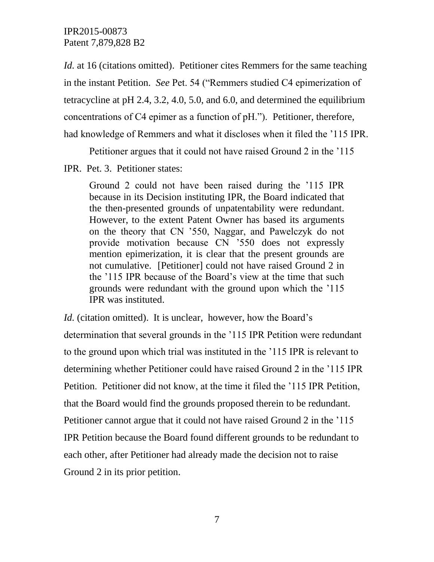*Id.* at 16 (citations omitted). Petitioner cites Remmers for the same teaching in the instant Petition. *See* Pet. 54 ("Remmers studied C4 epimerization of tetracycline at pH 2.4, 3.2, 4.0, 5.0, and 6.0, and determined the equilibrium concentrations of C4 epimer as a function of pH."). Petitioner, therefore, had knowledge of Remmers and what it discloses when it filed the '115 IPR.

Petitioner argues that it could not have raised Ground 2 in the '115

#### IPR. Pet. 3. Petitioner states:

Ground 2 could not have been raised during the '115 IPR because in its Decision instituting IPR, the Board indicated that the then-presented grounds of unpatentability were redundant. However, to the extent Patent Owner has based its arguments on the theory that CN '550, Naggar, and Pawelczyk do not provide motivation because CN '550 does not expressly mention epimerization, it is clear that the present grounds are not cumulative. [Petitioner] could not have raised Ground 2 in the '115 IPR because of the Board's view at the time that such grounds were redundant with the ground upon which the '115 IPR was instituted.

Id. (citation omitted). It is unclear, however, how the Board's determination that several grounds in the '115 IPR Petition were redundant to the ground upon which trial was instituted in the '115 IPR is relevant to determining whether Petitioner could have raised Ground 2 in the '115 IPR Petition. Petitioner did not know, at the time it filed the '115 IPR Petition, that the Board would find the grounds proposed therein to be redundant. Petitioner cannot argue that it could not have raised Ground 2 in the '115 IPR Petition because the Board found different grounds to be redundant to each other, after Petitioner had already made the decision not to raise Ground 2 in its prior petition.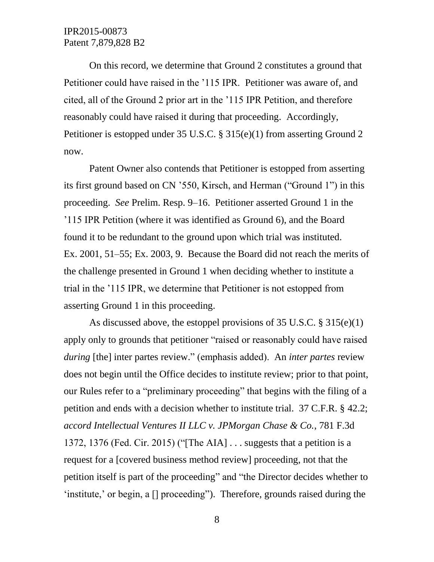On this record, we determine that Ground 2 constitutes a ground that Petitioner could have raised in the '115 IPR. Petitioner was aware of, and cited, all of the Ground 2 prior art in the '115 IPR Petition, and therefore reasonably could have raised it during that proceeding. Accordingly, Petitioner is estopped under 35 U.S.C. § 315(e)(1) from asserting Ground 2 now.

Patent Owner also contends that Petitioner is estopped from asserting its first ground based on CN '550, Kirsch, and Herman ("Ground 1") in this proceeding. *See* Prelim. Resp. 9–16. Petitioner asserted Ground 1 in the '115 IPR Petition (where it was identified as Ground 6), and the Board found it to be redundant to the ground upon which trial was instituted. Ex. 2001, 51–55; Ex. 2003, 9. Because the Board did not reach the merits of the challenge presented in Ground 1 when deciding whether to institute a trial in the '115 IPR, we determine that Petitioner is not estopped from asserting Ground 1 in this proceeding.

As discussed above, the estoppel provisions of 35 U.S.C. § 315(e)(1) apply only to grounds that petitioner "raised or reasonably could have raised *during* [the] inter partes review." (emphasis added). An *inter partes* review does not begin until the Office decides to institute review; prior to that point, our Rules refer to a "preliminary proceeding" that begins with the filing of a petition and ends with a decision whether to institute trial. 37 C.F.R. § 42.2; *accord Intellectual Ventures II LLC v. JPMorgan Chase & Co.*, 781 F.3d 1372, 1376 (Fed. Cir. 2015) ("[The AIA] . . . suggests that a petition is a request for a [covered business method review] proceeding, not that the petition itself is part of the proceeding" and "the Director decides whether to 'institute,' or begin, a [] proceeding"). Therefore, grounds raised during the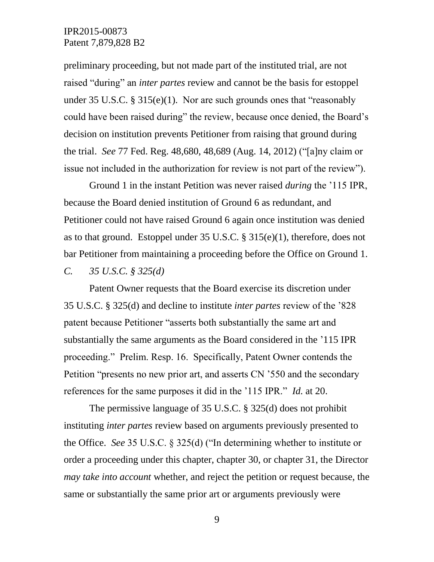preliminary proceeding, but not made part of the instituted trial, are not raised "during" an *inter partes* review and cannot be the basis for estoppel under 35 U.S.C. § 315(e)(1). Nor are such grounds ones that "reasonably could have been raised during" the review, because once denied, the Board's decision on institution prevents Petitioner from raising that ground during the trial. *See* 77 Fed. Reg. 48,680, 48,689 (Aug. 14, 2012) ("[a]ny claim or issue not included in the authorization for review is not part of the review").

Ground 1 in the instant Petition was never raised *during* the '115 IPR, because the Board denied institution of Ground 6 as redundant, and Petitioner could not have raised Ground 6 again once institution was denied as to that ground. Estoppel under 35 U.S.C. § 315(e)(1), therefore, does not bar Petitioner from maintaining a proceeding before the Office on Ground 1.

*C. 35 U.S.C. § 325(d)*

Patent Owner requests that the Board exercise its discretion under 35 U.S.C. § 325(d) and decline to institute *inter partes* review of the '828 patent because Petitioner "asserts both substantially the same art and substantially the same arguments as the Board considered in the '115 IPR proceeding." Prelim. Resp. 16. Specifically, Patent Owner contends the Petition "presents no new prior art, and asserts CN '550 and the secondary references for the same purposes it did in the '115 IPR." *Id.* at 20.

The permissive language of 35 U.S.C. § 325(d) does not prohibit instituting *inter partes* review based on arguments previously presented to the Office. *See* 35 U.S.C. § 325(d) ("In determining whether to institute or order a proceeding under this chapter, chapter 30, or chapter 31, the Director *may take into account* whether, and reject the petition or request because, the same or substantially the same prior art or arguments previously were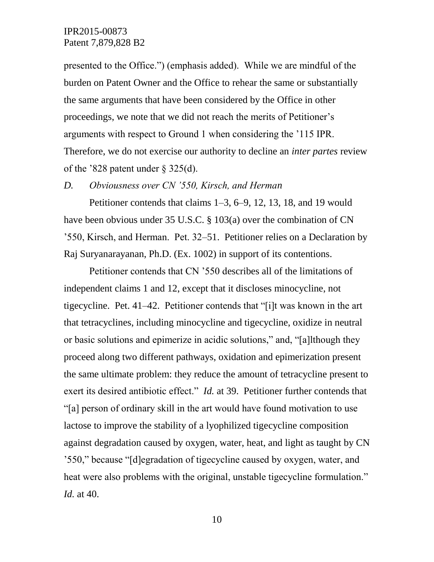presented to the Office.") (emphasis added). While we are mindful of the burden on Patent Owner and the Office to rehear the same or substantially the same arguments that have been considered by the Office in other proceedings, we note that we did not reach the merits of Petitioner's arguments with respect to Ground 1 when considering the '115 IPR. Therefore, we do not exercise our authority to decline an *inter partes* review of the '828 patent under  $\S$  325(d).

#### *D. Obviousness over CN '550, Kirsch, and Herman*

Petitioner contends that claims 1–3, 6–9, 12, 13, 18, and 19 would have been obvious under 35 U.S.C. § 103(a) over the combination of CN '550, Kirsch, and Herman. Pet. 32–51. Petitioner relies on a Declaration by Raj Suryanarayanan, Ph.D. (Ex. 1002) in support of its contentions.

Petitioner contends that CN '550 describes all of the limitations of independent claims 1 and 12, except that it discloses minocycline, not tigecycline. Pet. 41–42. Petitioner contends that "[i]t was known in the art that tetracyclines, including minocycline and tigecycline, oxidize in neutral or basic solutions and epimerize in acidic solutions," and, "[a]lthough they proceed along two different pathways, oxidation and epimerization present the same ultimate problem: they reduce the amount of tetracycline present to exert its desired antibiotic effect." *Id.* at 39. Petitioner further contends that "[a] person of ordinary skill in the art would have found motivation to use lactose to improve the stability of a lyophilized tigecycline composition against degradation caused by oxygen, water, heat, and light as taught by CN '550," because "[d]egradation of tigecycline caused by oxygen, water, and heat were also problems with the original, unstable tigecycline formulation." *Id.* at 40.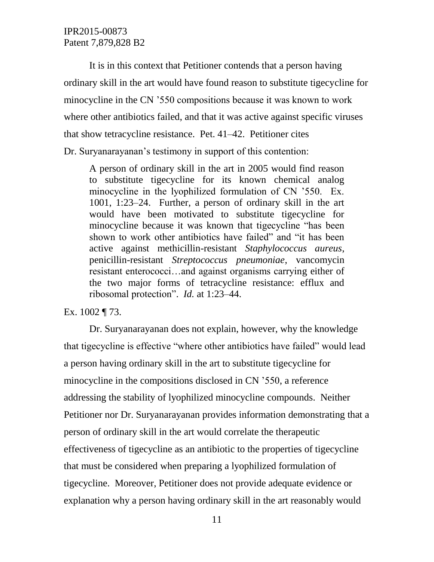It is in this context that Petitioner contends that a person having ordinary skill in the art would have found reason to substitute tigecycline for minocycline in the CN '550 compositions because it was known to work where other antibiotics failed, and that it was active against specific viruses that show tetracycline resistance. Pet. 41–42. Petitioner cites Dr. Suryanarayanan's testimony in support of this contention:

A person of ordinary skill in the art in 2005 would find reason to substitute tigecycline for its known chemical analog minocycline in the lyophilized formulation of CN '550. Ex. 1001, 1:23–24. Further, a person of ordinary skill in the art would have been motivated to substitute tigecycline for minocycline because it was known that tigecycline "has been shown to work other antibiotics have failed" and "it has been active against methicillin-resistant *Staphylococcus aureus*, penicillin-resistant *Streptococcus pneumoniae*, vancomycin resistant enterococci…and against organisms carrying either of the two major forms of tetracycline resistance: efflux and ribosomal protection". *Id.* at 1:23–44.

Ex. 1002 ¶ 73.

Dr. Suryanarayanan does not explain, however, why the knowledge that tigecycline is effective "where other antibiotics have failed" would lead a person having ordinary skill in the art to substitute tigecycline for minocycline in the compositions disclosed in CN '550, a reference addressing the stability of lyophilized minocycline compounds. Neither Petitioner nor Dr. Suryanarayanan provides information demonstrating that a person of ordinary skill in the art would correlate the therapeutic effectiveness of tigecycline as an antibiotic to the properties of tigecycline that must be considered when preparing a lyophilized formulation of tigecycline. Moreover, Petitioner does not provide adequate evidence or explanation why a person having ordinary skill in the art reasonably would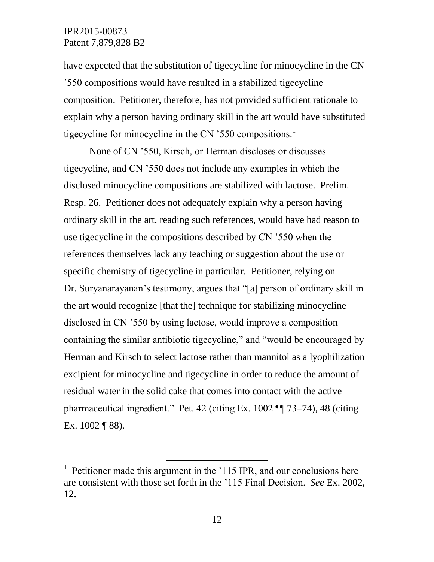have expected that the substitution of tigecycline for minocycline in the CN '550 compositions would have resulted in a stabilized tigecycline composition. Petitioner, therefore, has not provided sufficient rationale to explain why a person having ordinary skill in the art would have substituted tigecycline for minocycline in the CN '550 compositions.<sup>1</sup>

None of CN '550, Kirsch, or Herman discloses or discusses tigecycline, and CN '550 does not include any examples in which the disclosed minocycline compositions are stabilized with lactose. Prelim. Resp. 26. Petitioner does not adequately explain why a person having ordinary skill in the art, reading such references, would have had reason to use tigecycline in the compositions described by CN '550 when the references themselves lack any teaching or suggestion about the use or specific chemistry of tigecycline in particular. Petitioner, relying on Dr. Suryanarayanan's testimony, argues that "[a] person of ordinary skill in the art would recognize [that the] technique for stabilizing minocycline disclosed in CN '550 by using lactose, would improve a composition containing the similar antibiotic tigecycline," and "would be encouraged by Herman and Kirsch to select lactose rather than mannitol as a lyophilization excipient for minocycline and tigecycline in order to reduce the amount of residual water in the solid cake that comes into contact with the active pharmaceutical ingredient." Pet. 42 (citing Ex. 1002 ¶¶ 73–74), 48 (citing Ex. 1002 ¶ 88).

 $\overline{a}$ 

<sup>&</sup>lt;sup>1</sup> Petitioner made this argument in the '115 IPR, and our conclusions here are consistent with those set forth in the '115 Final Decision. *See* Ex. 2002, 12.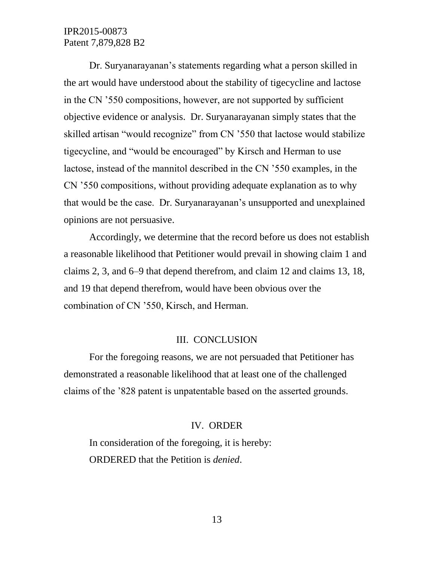Dr. Suryanarayanan's statements regarding what a person skilled in the art would have understood about the stability of tigecycline and lactose in the CN '550 compositions, however, are not supported by sufficient objective evidence or analysis. Dr. Suryanarayanan simply states that the skilled artisan "would recognize" from CN '550 that lactose would stabilize tigecycline, and "would be encouraged" by Kirsch and Herman to use lactose, instead of the mannitol described in the CN '550 examples, in the CN '550 compositions, without providing adequate explanation as to why that would be the case. Dr. Suryanarayanan's unsupported and unexplained opinions are not persuasive.

Accordingly, we determine that the record before us does not establish a reasonable likelihood that Petitioner would prevail in showing claim 1 and claims 2, 3, and 6–9 that depend therefrom, and claim 12 and claims 13, 18, and 19 that depend therefrom, would have been obvious over the combination of CN '550, Kirsch, and Herman.

#### III. CONCLUSION

For the foregoing reasons, we are not persuaded that Petitioner has demonstrated a reasonable likelihood that at least one of the challenged claims of the '828 patent is unpatentable based on the asserted grounds.

#### IV. ORDER

In consideration of the foregoing, it is hereby: ORDERED that the Petition is *denied*.